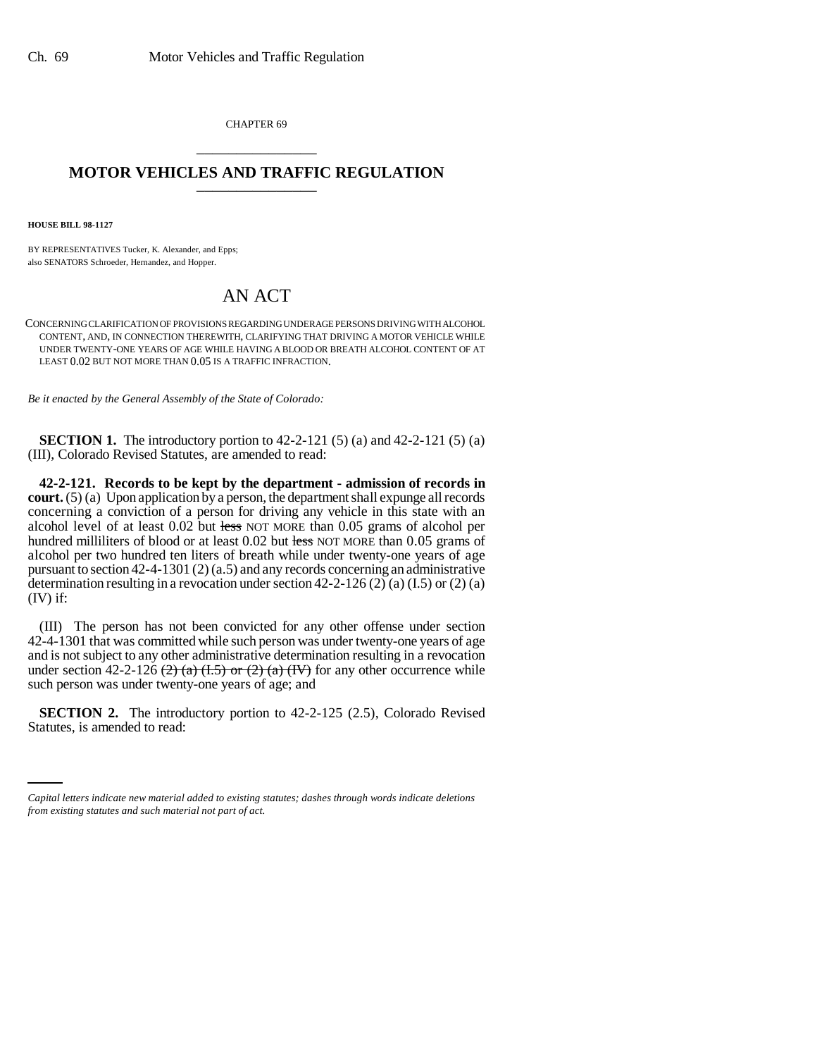CHAPTER 69 \_\_\_\_\_\_\_\_\_\_\_\_\_\_\_

## **MOTOR VEHICLES AND TRAFFIC REGULATION** \_\_\_\_\_\_\_\_\_\_\_\_\_\_\_

**HOUSE BILL 98-1127**

BY REPRESENTATIVES Tucker, K. Alexander, and Epps; also SENATORS Schroeder, Hernandez, and Hopper.

## AN ACT

CONCERNING CLARIFICATION OF PROVISIONS REGARDING UNDERAGE PERSONS DRIVING WITH ALCOHOL CONTENT, AND, IN CONNECTION THEREWITH, CLARIFYING THAT DRIVING A MOTOR VEHICLE WHILE UNDER TWENTY-ONE YEARS OF AGE WHILE HAVING A BLOOD OR BREATH ALCOHOL CONTENT OF AT LEAST 0.02 BUT NOT MORE THAN 0.05 IS A TRAFFIC INFRACTION.

*Be it enacted by the General Assembly of the State of Colorado:*

**SECTION 1.** The introductory portion to 42-2-121 (5) (a) and 42-2-121 (5) (a) (III), Colorado Revised Statutes, are amended to read:

**42-2-121. Records to be kept by the department - admission of records in court.** (5) (a) Upon application by a person, the department shall expunge all records concerning a conviction of a person for driving any vehicle in this state with an alcohol level of at least 0.02 but less NOT MORE than 0.05 grams of alcohol per hundred milliliters of blood or at least 0.02 but less NOT MORE than 0.05 grams of alcohol per two hundred ten liters of breath while under twenty-one years of age pursuant to section 42-4-1301 (2) (a.5) and any records concerning an administrative determination resulting in a revocation under section  $42-2-126$  (2) (a)  $(1.5)$  or (2) (a) (IV) if:

(III) The person has not been convicted for any other offense under section 42-4-1301 that was committed while such person was under twenty-one years of age and is not subject to any other administrative determination resulting in a revocation under section 42-2-126  $(2)$   $(a)$   $(1.5)$  or  $(2)$   $(a)$   $(IV)$  for any other occurrence while such person was under twenty-one years of age; and

 **SECTION 2.** The introductory portion to 42-2-125 (2.5), Colorado Revised Statutes, is amended to read:

*Capital letters indicate new material added to existing statutes; dashes through words indicate deletions from existing statutes and such material not part of act.*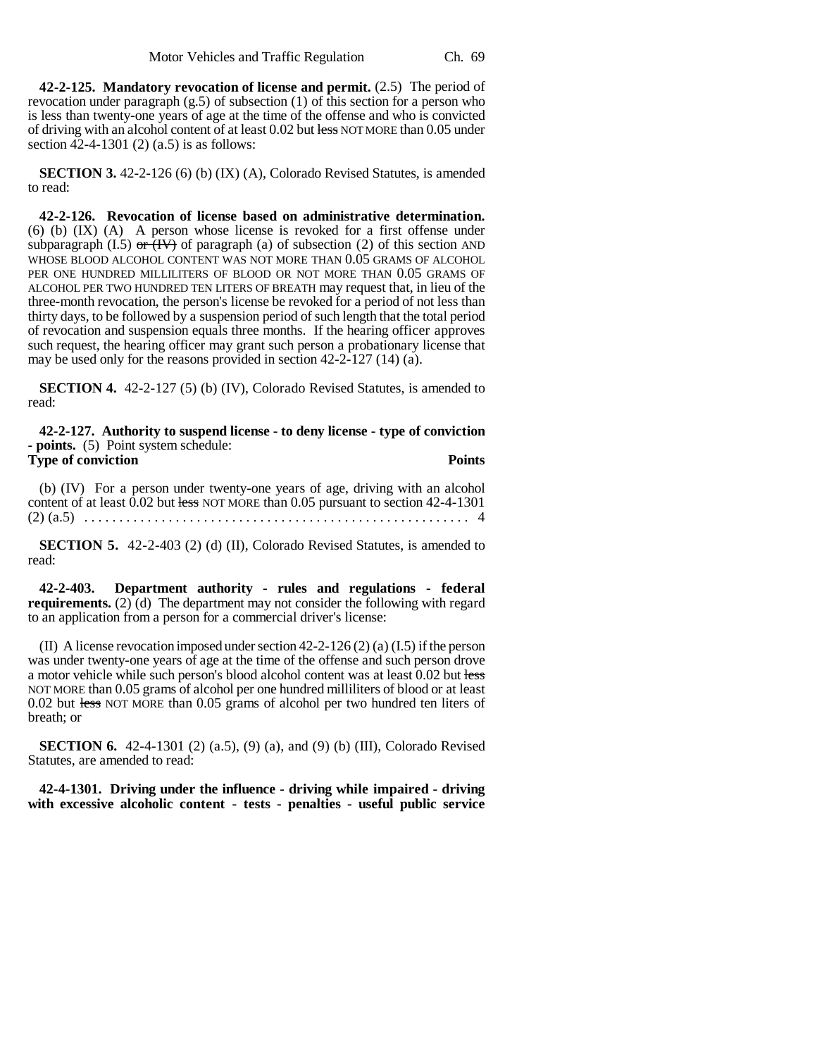**42-2-125. Mandatory revocation of license and permit.** (2.5) The period of revocation under paragraph  $(g.5)$  of subsection (1) of this section for a person who is less than twenty-one years of age at the time of the offense and who is convicted of driving with an alcohol content of at least 0.02 but less NOT MORE than 0.05 under section 42-4-1301 (2) (a.5) is as follows:

**SECTION 3.** 42-2-126 (6) (b) (IX) (A), Colorado Revised Statutes, is amended to read:

**42-2-126. Revocation of license based on administrative determination.** (6) (b) (IX) (A) A person whose license is revoked for a first offense under subparagraph (I.5) or  $\overline{(IV)}$  of paragraph (a) of subsection (2) of this section AND WHOSE BLOOD ALCOHOL CONTENT WAS NOT MORE THAN 0.05 GRAMS OF ALCOHOL PER ONE HUNDRED MILLILITERS OF BLOOD OR NOT MORE THAN 0.05 GRAMS OF ALCOHOL PER TWO HUNDRED TEN LITERS OF BREATH may request that, in lieu of the three-month revocation, the person's license be revoked for a period of not less than thirty days, to be followed by a suspension period of such length that the total period of revocation and suspension equals three months. If the hearing officer approves such request, the hearing officer may grant such person a probationary license that may be used only for the reasons provided in section 42-2-127 (14) (a).

**SECTION 4.** 42-2-127 (5) (b) (IV), Colorado Revised Statutes, is amended to read:

**42-2-127. Authority to suspend license - to deny license - type of conviction - points.** (5) Point system schedule: **Type of conviction Points** 

(b) (IV) For a person under twenty-one years of age, driving with an alcohol content of at least  $0.02$  but less NOT MORE than 0.05 pursuant to section 42-4-1301 (2) (a.5) . . . . . . . . . . . . . . . . . . . . . . . . . . . . . . . . . . . . . . . . . . . . . . . . . . . . . . . 4

**SECTION 5.** 42-2-403 (2) (d) (II), Colorado Revised Statutes, is amended to read:

**42-2-403. Department authority - rules and regulations - federal requirements.** (2) (d) The department may not consider the following with regard to an application from a person for a commercial driver's license:

(II) A license revocation imposed under section 42-2-126 (2) (a) (I.5) if the person was under twenty-one years of age at the time of the offense and such person drove a motor vehicle while such person's blood alcohol content was at least 0.02 but less NOT MORE than 0.05 grams of alcohol per one hundred milliliters of blood or at least 0.02 but less NOT MORE than 0.05 grams of alcohol per two hundred ten liters of breath; or

**SECTION 6.** 42-4-1301 (2) (a.5), (9) (a), and (9) (b) (III), Colorado Revised Statutes, are amended to read:

**42-4-1301. Driving under the influence - driving while impaired - driving with excessive alcoholic content - tests - penalties - useful public service**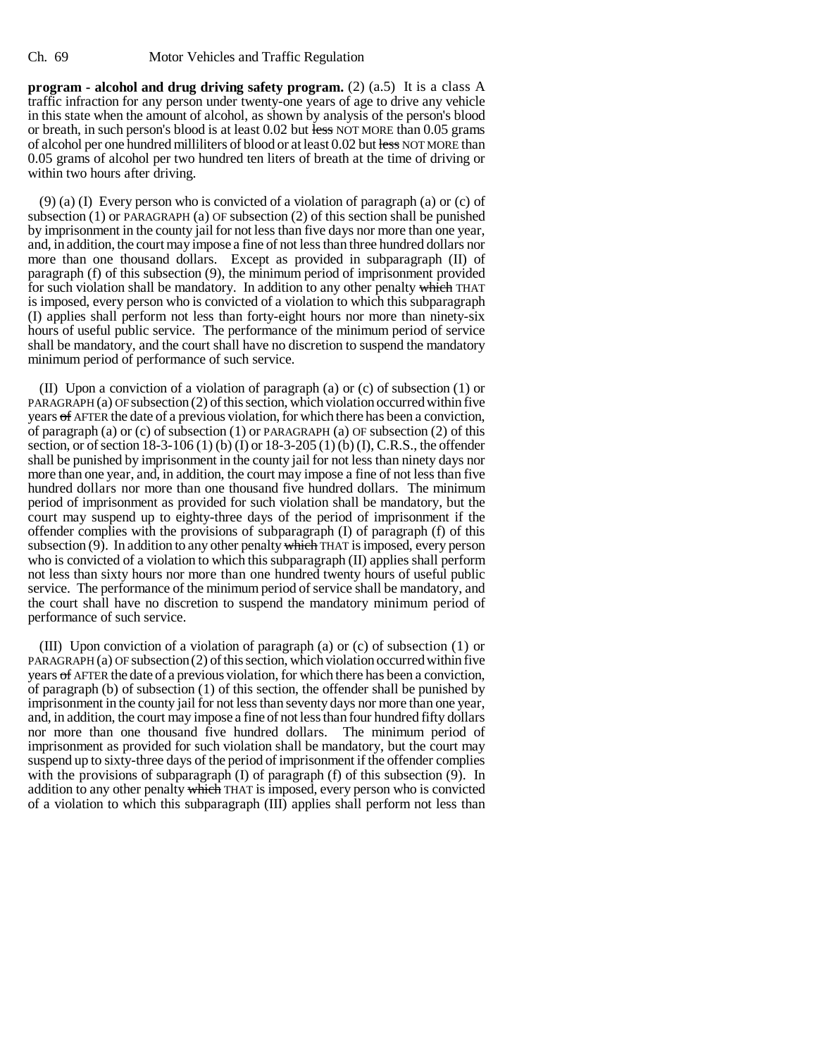**program - alcohol and drug driving safety program.** (2) (a.5) It is a class A traffic infraction for any person under twenty-one years of age to drive any vehicle in this state when the amount of alcohol, as shown by analysis of the person's blood or breath, in such person's blood is at least  $0.02$  but less NOT MORE than  $0.05$  grams of alcohol per one hundred milliliters of blood or at least 0.02 but less NOT MORE than 0.05 grams of alcohol per two hundred ten liters of breath at the time of driving or within two hours after driving.

(9) (a) (I) Every person who is convicted of a violation of paragraph (a) or (c) of subsection (1) or PARAGRAPH (a) OF subsection (2) of this section shall be punished by imprisonment in the county jail for not less than five days nor more than one year, and, in addition, the court may impose a fine of not less than three hundred dollars nor more than one thousand dollars. Except as provided in subparagraph (II) of paragraph (f) of this subsection (9), the minimum period of imprisonment provided for such violation shall be mandatory. In addition to any other penalty which THAT is imposed, every person who is convicted of a violation to which this subparagraph (I) applies shall perform not less than forty-eight hours nor more than ninety-six hours of useful public service. The performance of the minimum period of service shall be mandatory, and the court shall have no discretion to suspend the mandatory minimum period of performance of such service.

(II) Upon a conviction of a violation of paragraph (a) or (c) of subsection (1) or PARAGRAPH (a) OF subsection (2) of this section, which violation occurred within five years of AFTER the date of a previous violation, for which there has been a conviction, of paragraph (a) or (c) of subsection (1) or PARAGRAPH (a) OF subsection (2) of this section, or of section 18-3-106 (1) (b) (I) or 18-3-205 (1) (b) (I), C.R.S., the offender shall be punished by imprisonment in the county jail for not less than ninety days nor more than one year, and, in addition, the court may impose a fine of not less than five hundred dollars nor more than one thousand five hundred dollars. The minimum period of imprisonment as provided for such violation shall be mandatory, but the court may suspend up to eighty-three days of the period of imprisonment if the offender complies with the provisions of subparagraph  $(I)$  of paragraph  $(f)$  of this subsection  $(9)$ . In addition to any other penalty which THAT is imposed, every person who is convicted of a violation to which this subparagraph (II) applies shall perform not less than sixty hours nor more than one hundred twenty hours of useful public service. The performance of the minimum period of service shall be mandatory, and the court shall have no discretion to suspend the mandatory minimum period of performance of such service.

(III) Upon conviction of a violation of paragraph (a) or (c) of subsection (1) or PARAGRAPH (a) OF subsection (2) of this section, which violation occurred within five years of AFTER the date of a previous violation, for which there has been a conviction, of paragraph (b) of subsection (1) of this section, the offender shall be punished by imprisonment in the county jail for not less than seventy days nor more than one year, and, in addition, the court may impose a fine of not less than four hundred fifty dollars nor more than one thousand five hundred dollars. The minimum period of imprisonment as provided for such violation shall be mandatory, but the court may suspend up to sixty-three days of the period of imprisonment if the offender complies with the provisions of subparagraph  $(I)$  of paragraph  $(f)$  of this subsection  $(9)$ . In addition to any other penalty which THAT is imposed, every person who is convicted of a violation to which this subparagraph (III) applies shall perform not less than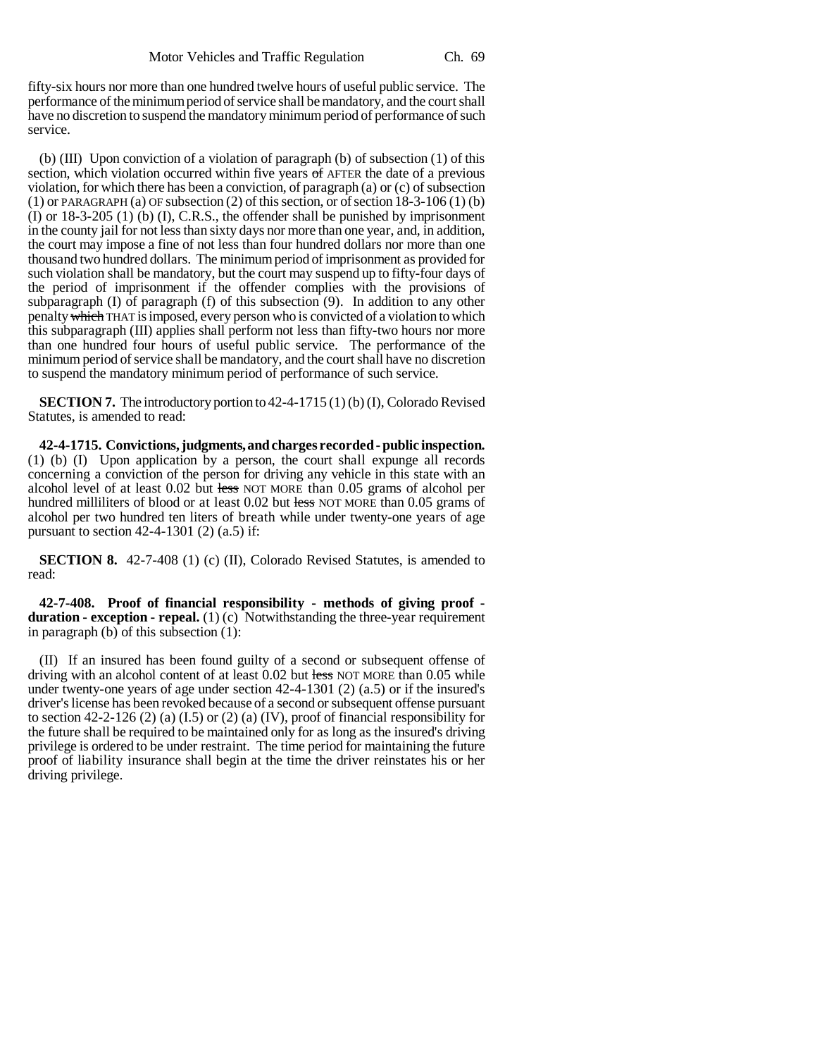fifty-six hours nor more than one hundred twelve hours of useful public service. The performance of the minimum period of service shall be mandatory, and the court shall have no discretion to suspend the mandatory minimum period of performance of such service.

(b) (III) Upon conviction of a violation of paragraph (b) of subsection (1) of this section, which violation occurred within five years of AFTER the date of a previous violation, for which there has been a conviction, of paragraph (a) or (c) of subsection  $(1)$  or PARAGRAPH  $(a)$  OF subsection  $(2)$  of this section, or of section 18-3-106  $(1)$   $(b)$ (I) or 18-3-205 (1) (b) (I), C.R.S., the offender shall be punished by imprisonment in the county jail for not less than sixty days nor more than one year, and, in addition, the court may impose a fine of not less than four hundred dollars nor more than one thousand two hundred dollars. The minimum period of imprisonment as provided for such violation shall be mandatory, but the court may suspend up to fifty-four days of the period of imprisonment if the offender complies with the provisions of subparagraph (I) of paragraph (f) of this subsection  $(9)$ . In addition to any other penalty which THAT is imposed, every person who is convicted of a violation to which this subparagraph (III) applies shall perform not less than fifty-two hours nor more than one hundred four hours of useful public service. The performance of the minimum period of service shall be mandatory, and the court shall have no discretion to suspend the mandatory minimum period of performance of such service.

**SECTION 7.** The introductory portion to 42-4-1715 (1) (b) (I), Colorado Revised Statutes, is amended to read:

**42-4-1715. Convictions, judgments, and charges recorded - public inspection.** (1) (b) (I) Upon application by a person, the court shall expunge all records concerning a conviction of the person for driving any vehicle in this state with an alcohol level of at least 0.02 but less NOT MORE than 0.05 grams of alcohol per hundred milliliters of blood or at least 0.02 but less NOT MORE than 0.05 grams of alcohol per two hundred ten liters of breath while under twenty-one years of age pursuant to section  $42-4-1301$  (2) (a.5) if:

**SECTION 8.** 42-7-408 (1) (c) (II), Colorado Revised Statutes, is amended to read:

**42-7-408. Proof of financial responsibility - methods of giving proof duration - exception - repeal.** (1) (c) Notwithstanding the three-year requirement in paragraph  $(b)$  of this subsection  $(1)$ :

(II) If an insured has been found guilty of a second or subsequent offense of driving with an alcohol content of at least 0.02 but less NOT MORE than 0.05 while under twenty-one years of age under section 42-4-1301 (2) (a.5) or if the insured's driver's license has been revoked because of a second or subsequent offense pursuant to section 42-2-126 (2) (a) (I.5) or (2) (a) (IV), proof of financial responsibility for the future shall be required to be maintained only for as long as the insured's driving privilege is ordered to be under restraint. The time period for maintaining the future proof of liability insurance shall begin at the time the driver reinstates his or her driving privilege.